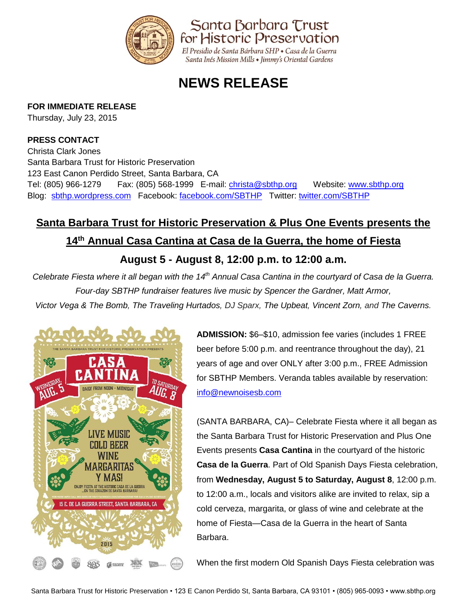

# **NEWS RELEASE**

### **FOR IMMEDIATE RELEASE**

Thursday, July 23, 2015

### **PRESS CONTACT**

Christa Clark Jones Santa Barbara Trust for Historic Preservation 123 East Canon Perdido Street, Santa Barbara, CA Tel: (805) 966-1279 Fax: (805) 568-1999 E-mail: [christa@sbthp.org](mailto:christa@sbthp.org)  Website: [www.sbthp.org](http://www.sbthp.org/) Blog: [sbthp.wordpress.com](http://sbthp.wordpress.com/) Facebook: [facebook.com/SBTHP](http://www.facebook.com/SBTHP) Twitter: [twitter.com/SBTHP](http://twitter.com/SBTHP)

# **Santa Barbara Trust for Historic Preservation & Plus One Events presents the 14th Annual Casa Cantina at Casa de la Guerra, the home of Fiesta**

## **August 5 - August 8, 12:00 p.m. to 12:00 a.m.**

*Celebrate Fiesta where it all began with the 14th Annual Casa Cantina in the courtyard of Casa de la Guerra. Four-day SBTHP fundraiser features live music by Spencer the Gardner, Matt Armor, Victor Vega & The Bomb, The Traveling Hurtados, DJ Sparx, The Upbeat, Vincent Zorn, and The Caverns.*



**ADMISSION:** \$6–\$10, admission fee varies (includes 1 FREE beer before 5:00 p.m. and reentrance throughout the day), 21 years of age and over ONLY after 3:00 p.m., FREE Admission for SBTHP Members. Veranda tables available by reservation: [info@newnoisesb.com](mailto:info@newnoisesb.com)

(SANTA BARBARA, CA)– Celebrate Fiesta where it all began as the Santa Barbara Trust for Historic Preservation and Plus One Events presents **Casa Cantina** in the courtyard of the historic **Casa de la Guerra**. Part of Old Spanish Days Fiesta celebration, from **Wednesday, August 5 to Saturday, August 8**, 12:00 p.m. to 12:00 a.m., locals and visitors alike are invited to relax, sip a cold cerveza, margarita, or glass of wine and celebrate at the home of Fiesta—Casa de la Guerra in the heart of Santa Barbara.

When the first modern Old Spanish Days Fiesta celebration was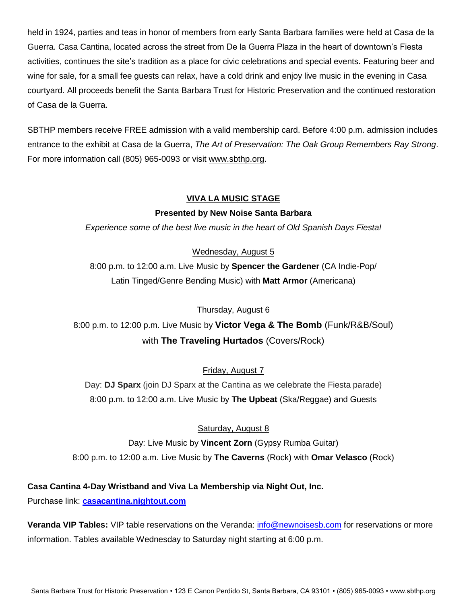held in 1924, parties and teas in honor of members from early Santa Barbara families were held at Casa de la Guerra. Casa Cantina, located across the street from De la Guerra Plaza in the heart of downtown's Fiesta activities, continues the site's tradition as a place for civic celebrations and special events. Featuring beer and wine for sale, for a small fee guests can relax, have a cold drink and enjoy live music in the evening in Casa courtyard. All proceeds benefit the Santa Barbara Trust for Historic Preservation and the continued restoration of Casa de la Guerra.

SBTHP members receive FREE admission with a valid membership card. Before 4:00 p.m. admission includes entrance to the exhibit at Casa de la Guerra, *The Art of Preservation: The Oak Group Remembers Ray Strong*. For more information call (805) 965-0093 or visit [www.sbthp.org.](http://www.sbthp.org/)

#### **VIVA LA MUSIC STAGE**

#### **Presented by New Noise Santa Barbara**

*Experience some of the best live music in the heart of Old Spanish Days Fiesta!*

Wednesday, August 5

8:00 p.m. to 12:00 a.m. Live Music by **Spencer the Gardener** (CA Indie-Pop/ Latin Tinged/Genre Bending Music) with **Matt Armor** (Americana)

#### Thursday, August 6

8:00 p.m. to 12:00 p.m. Live Music by **Victor Vega & The Bomb** (Funk/R&B/Soul) with **The Traveling Hurtados** (Covers/Rock)

#### Friday, August 7

Day: **DJ Sparx** (join DJ Sparx at the Cantina as we celebrate the Fiesta parade) 8:00 p.m. to 12:00 a.m. Live Music by **The Upbeat** (Ska/Reggae) and Guests

#### Saturday, August 8

Day: Live Music by **Vincent Zorn** (Gypsy Rumba Guitar) 8:00 p.m. to 12:00 a.m. Live Music by **The Caverns** (Rock) with **Omar Velasco** (Rock)

**Casa Cantina 4-Day Wristband and Viva La Membership via Night Out, Inc.**

Purchase link: **<casacantina.nightout.com>**

**Veranda VIP Tables:** VIP table reservations on the Veranda: [info@newnoisesb.com](mailto:info@newnoisesb.com) for reservations or more information. Tables available Wednesday to Saturday night starting at 6:00 p.m.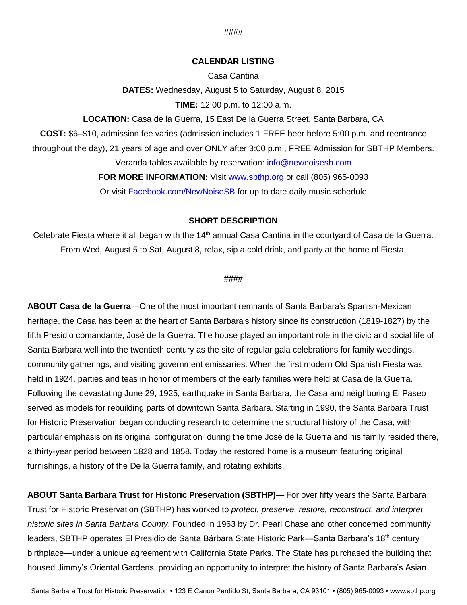#### **CALENDAR LISTING**

Casa Cantina **DATES:** Wednesday, August 5 to Saturday, August 8, 2015 **TIME:** 12:00 p.m. to 12:00 a.m.

**LOCATION:** Casa de la Guerra, 15 East De la Guerra Street, Santa Barbara, CA

**COST:** \$6–\$10, admission fee varies (admission includes 1 FREE beer before 5:00 p.m. and reentrance

throughout the day), 21 years of age and over ONLY after 3:00 p.m., FREE Admission for SBTHP Members. Veranda tables available by reservation: [info@newnoisesb.com](mailto:info@newnoisesb.com)

**FOR MORE INFORMATION:** Visit [www.sbthp.org](http://www.sbthp.org/) or call (805) 965-0093

Or visit [Facebook.com/NewNoiseSB](https://www.facebook.com/NewNoiseSB?_rdr=p) for up to date daily music schedule

#### **SHORT DESCRIPTION**

Celebrate Fiesta where it all began with the 14<sup>th</sup> annual Casa Cantina in the courtyard of Casa de la Guerra. From Wed, August 5 to Sat, August 8, relax, sip a cold drink, and party at the home of Fiesta.

#### ####

**ABOUT Casa de la Guerra**—One of the most important remnants of Santa Barbara's Spanish-Mexican heritage, the Casa has been at the heart of Santa Barbara's history since its construction (1819-1827) by the fifth Presidio comandante, José de la Guerra. The house played an important role in the civic and social life of Santa Barbara well into the twentieth century as the site of regular gala celebrations for family weddings, community gatherings, and visiting government emissaries. When the first modern Old Spanish Fiesta was held in 1924, parties and teas in honor of members of the early families were held at Casa de la Guerra. Following the devastating June 29, 1925, earthquake in Santa Barbara, the Casa and neighboring El Paseo served as models for rebuilding parts of downtown Santa Barbara. Starting in 1990, the Santa Barbara Trust for Historic Preservation began conducting research to determine the structural history of the Casa, with particular emphasis on its original configuration during the time José de la Guerra and his family resided there, a thirty-year period between 1828 and 1858. Today the restored home is a museum featuring original furnishings, a history of the De la Guerra family, and rotating exhibits.

**ABOUT Santa Barbara Trust for Historic Preservation (SBTHP)**— For over fifty years the Santa Barbara Trust for Historic Preservation (SBTHP) has worked to *protect, preserve, restore, reconstruct, and interpret historic sites in Santa Barbara County*. Founded in 1963 by Dr. Pearl Chase and other concerned community leaders, SBTHP operates El Presidio de Santa Bárbara State Historic Park—Santa Barbara's 18<sup>th</sup> century birthplace—under a unique agreement with California State Parks. The State has purchased the building that housed Jimmy's Oriental Gardens, providing an opportunity to interpret the history of Santa Barbara's Asian

####